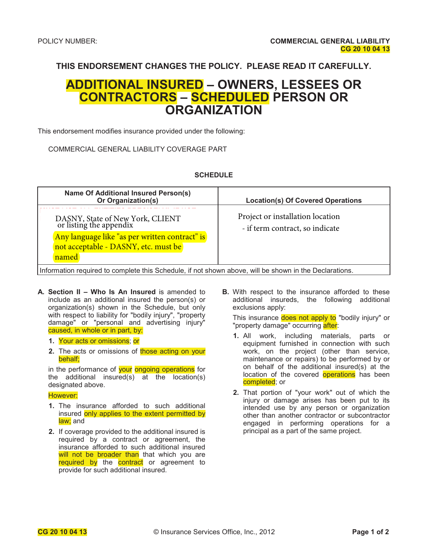**THIS ENDORSEMENT CHANGES THE POLICY. PLEASE READ IT CAREFULLY.**

### **ADDITIONAL INSURED – OWNERS, LESSEES OR CONTRACTORS – SCHEDULED PERSON OR ORGANIZATION**

This endorsement modifies insurance provided under the following:

COMMERCIAL GENERAL LIABILITY COVERAGE PART

#### **SCHEDULE**

| <b>Name Of Additional Insured Person(s)</b><br>Or Organization(s)                                      | <b>Location(s) Of Covered Operations</b>                            |  |
|--------------------------------------------------------------------------------------------------------|---------------------------------------------------------------------|--|
| DASNY, State of New York, CLIENT<br>or listing the appendix                                            | Project or installation location<br>- if term contract, so indicate |  |
| Any language like "as per written contract" is<br>not acceptable - DASNY, etc. must be                 |                                                                     |  |
| named                                                                                                  |                                                                     |  |
| Information required to complete this Schedule, if not shown above, will be shown in the Declarations. |                                                                     |  |

- **A. Section II Who Is An Insured** is amended to include as an additional insured the person(s) or organization(s) shown in the Schedule, but only with respect to liability for "bodily injury", "property damage" or "personal and advertising injury" caused, in whole or in part, by:
	- **1.** Your acts or omissions; or
	- **2.** The acts or omissions of those acting on your behalf;

in the performance of your ongoing operations for the additional insured(s) at the location(s) designated above.

#### However:

- **1.** The insurance afforded to such additional insured only applies to the extent permitted by law; and
- **2.** If coverage provided to the additional insured is required by a contract or agreement, the insurance afforded to such additional insured will not be broader than that which you are required by the contract or agreement to provide for such additional insured.

**B.** With respect to the insurance afforded to these additional insureds, the following additional exclusions apply:

This insurance does not apply to "bodily injury" or "property damage" occurring after:

- **1.** All work, including materials, parts or equipment furnished in connection with such work, on the project (other than service, maintenance or repairs) to be performed by or on behalf of the additional insured(s) at the location of the covered **operations** has been completed; or
- **2.** That portion of "your work" out of which the injury or damage arises has been put to its intended use by any person or organization other than another contractor or subcontractor engaged in performing operations for a principal as a part of the same project.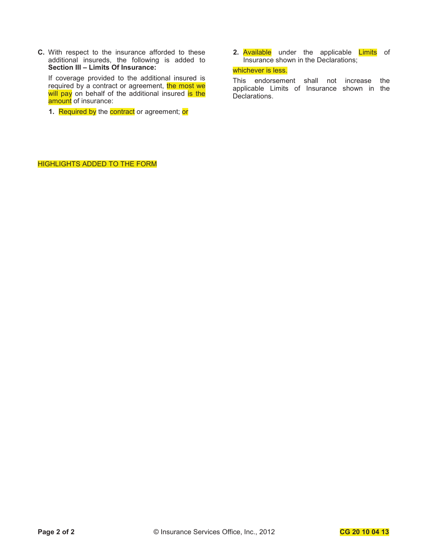**C.** With respect to the insurance afforded to these additional insureds, the following is added to **Section III – Limits Of Insurance:**

If coverage provided to the additional insured is required by a contract or agreement, the most we will pay on behalf of the additional insured is the amount of insurance:

**1.** Required by the **contract** or agreement; or

**2.** Available under the applicable Limits of Insurance shown in the Declarations;

#### whichever is less.

This endorsement shall not increase the applicable Limits of Insurance shown in the Declarations.

HIGHLIGHTS ADDED TO THE FORM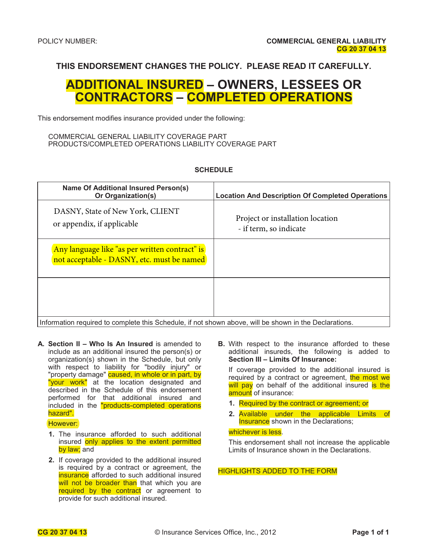### **THIS ENDORSEMENT CHANGES THE POLICY. PLEASE READ IT CAREFULLY.**

### **ADDITIONAL INSURED – OWNERS, LESSEES OR CONTRACTORS – COMPLETED OPERATIONS**

This endorsement modifies insurance provided under the following:

#### COMMERCIAL GENERAL LIABILITY COVERAGE PART PRODUCTS/COMPLETED OPERATIONS LIABILITY COVERAGE PART

#### **SCHEDULE**

| Name Of Additional Insured Person(s)<br>Or Organization(s)                                             | <b>Location And Description Of Completed Operations</b>    |
|--------------------------------------------------------------------------------------------------------|------------------------------------------------------------|
| DASNY, State of New York, CLIENT<br>or appendix, if applicable                                         | Project or installation location<br>- if term, so indicate |
| Any language like "as per written contract" is<br>not acceptable - DASNY, etc. must be named           |                                                            |
|                                                                                                        |                                                            |
| Information required to complete this Schedule, if not shown above, will be shown in the Declarations. |                                                            |

**A. Section II – Who Is An Insured** is amended to include as an additional insured the person(s) or organization(s) shown in the Schedule, but only with respect to liability for "bodily injury" or "property damage" caused, in whole or in part, by "your work" at the location designated and described in the Schedule of this endorsement performed for that additional insured and included in the "products-completed operations hazard".

#### However:

- **1.** The insurance afforded to such additional insured only applies to the extent permitted by law; and
- **2.** If coverage provided to the additional insured is required by a contract or agreement, the insurance afforded to such additional insured will not be broader than that which you are required by the contract or agreement to provide for such additional insured.

**B.** With respect to the insurance afforded to these additional insureds, the following is added to **Section III – Limits Of Insurance:** 

If coverage provided to the additional insured is required by a contract or agreement, the most we will pay on behalf of the additional insured is the amount of insurance:

- **1.** Required by the contract or agreement; or
- **2.** Available under the applicable Limits of **Insurance** shown in the Declarations;

#### whichever is less.

This endorsement shall not increase the applicable Limits of Insurance shown in the Declarations.

#### HIGHLIGHTS ADDED TO THE FORM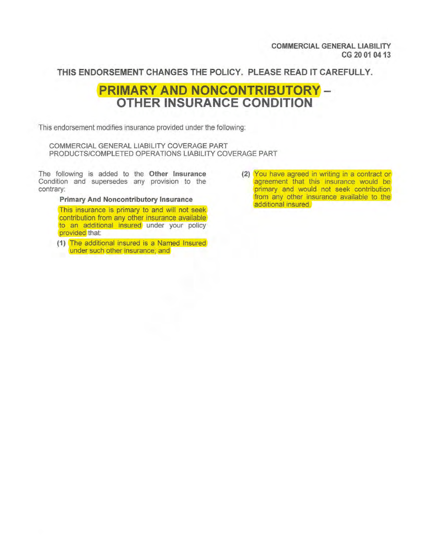**COMMERCIAL GENERAL LIABILITY CG20010413** 

**THIS ENDORSEMENT CHANGES THE POLICY. PLEASE READ IT CAREFULLY.** 

## **PRIMARY AND NONCONTRIBUTORY -OTHER INSURANCE CONDITION**

This endorsement modifies insurance provided under the following:

COMMERCIAL GENERAL LIABILITY COVERAGE PART PRODUCTS/COMPLETED OPERATIONS LIABILITY COVERAGE PART

The following is added to the **Other Insurance**  Condition and supersedes any provision to the contrary:

**Primary And Noncontributory Insurance** 

This insurance is primary to and will not seek contribution from any other insurance available to an additional insured under your policy provided that:

**(1)** The additional insured is a Named Insured under such other insurance; and

**(2)** You have agreed in writing in a contract or agreement that this insurance would be primary and would not seek contribution from any other insurance available to the additional insured.